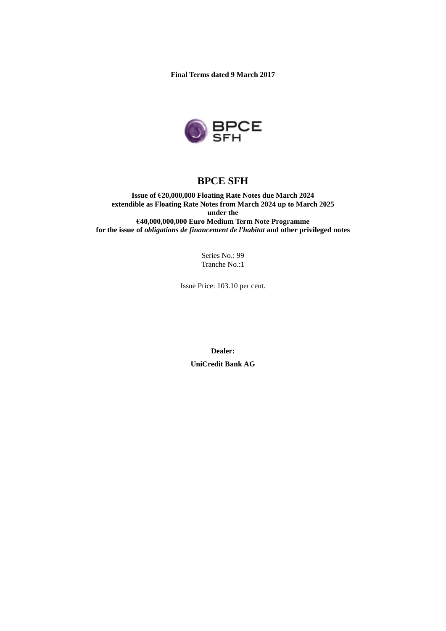**Final Terms dated 9 March 2017**



# **BPCE SFH**

**Issue of €20,000,000 Floating Rate Notes due March 2024 extendible as Floating Rate Notes from March 2024 up to March 2025 under the €40,000,000,000 Euro Medium Term Note Programme for the issue of** *obligations de financement de l'habitat* **and other privileged notes**

> Series No.: 99 Tranche No.:1

Issue Price: 103.10 per cent.

**Dealer:**

**UniCredit Bank AG**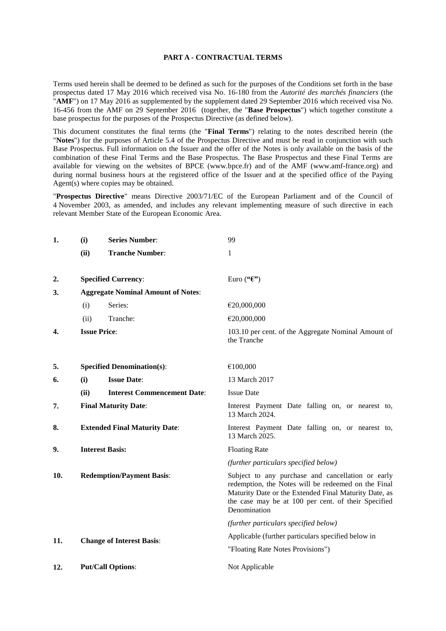#### **PART A - CONTRACTUAL TERMS**

Terms used herein shall be deemed to be defined as such for the purposes of the Conditions set forth in the base prospectus dated 17 May 2016 which received visa No. 16-180 from the *Autorité des marchés financiers* (the "AMF") on 17 May 2016 as supplemented by the supplement dated 29 September 2016 which received visa No. 16-456 from the AMF on 29 September 2016 (together, the "**Base Prospectus**") which together constitute a base prospectus for the purposes of the Prospectus Directive (as defined below).

This document constitutes the final terms (the "**Final Terms**") relating to the notes described herein (the "**Notes**") for the purposes of Article 5.4 of the Prospectus Directive and must be read in conjunction with such Base Prospectus. Full information on the Issuer and the offer of the Notes is only available on the basis of the combination of these Final Terms and the Base Prospectus. The Base Prospectus and these Final Terms are available for viewing on the websites of BPCE (www.bpce.fr) and of the AMF (www.amf-france.org) and during normal business hours at the registered office of the Issuer and at the specified office of the Paying Agent(s) where copies may be obtained.

"**Prospectus Directive**" means Directive 2003/71/EC of the European Parliament and of the Council of 4 November 2003, as amended, and includes any relevant implementing measure of such directive in each relevant Member State of the European Economic Area.

| 1.  | (i)                                       | <b>Series Number:</b>                | 99                                                                                                                                                                                                                                       |  |
|-----|-------------------------------------------|--------------------------------------|------------------------------------------------------------------------------------------------------------------------------------------------------------------------------------------------------------------------------------------|--|
|     | (ii)                                      | <b>Tranche Number:</b>               | 1                                                                                                                                                                                                                                        |  |
|     |                                           |                                      |                                                                                                                                                                                                                                          |  |
| 2.  | <b>Specified Currency:</b>                |                                      | Euro (" $\mathfrak{E}$ ")                                                                                                                                                                                                                |  |
| 3.  | <b>Aggregate Nominal Amount of Notes:</b> |                                      |                                                                                                                                                                                                                                          |  |
|     | (i)                                       | Series:                              | €20,000,000                                                                                                                                                                                                                              |  |
|     | (ii)                                      | Tranche:                             | €20,000,000                                                                                                                                                                                                                              |  |
| 4.  | <b>Issue Price:</b>                       |                                      | 103.10 per cent. of the Aggregate Nominal Amount of<br>the Tranche                                                                                                                                                                       |  |
| 5.  |                                           | <b>Specified Denomination(s):</b>    | €100,000                                                                                                                                                                                                                                 |  |
| 6.  | (i)                                       | <b>Issue Date:</b>                   | 13 March 2017                                                                                                                                                                                                                            |  |
|     | (ii)                                      | <b>Interest Commencement Date:</b>   | <b>Issue Date</b>                                                                                                                                                                                                                        |  |
| 7.  |                                           | <b>Final Maturity Date:</b>          | Interest Payment Date falling on, or nearest to,<br>13 March 2024.                                                                                                                                                                       |  |
| 8.  |                                           | <b>Extended Final Maturity Date:</b> | Interest Payment Date falling on, or nearest to,<br>13 March 2025.                                                                                                                                                                       |  |
| 9.  | <b>Interest Basis:</b>                    |                                      | <b>Floating Rate</b>                                                                                                                                                                                                                     |  |
|     |                                           |                                      | (further particulars specified below)                                                                                                                                                                                                    |  |
| 10. | <b>Redemption/Payment Basis:</b>          |                                      | Subject to any purchase and cancellation or early<br>redemption, the Notes will be redeemed on the Final<br>Maturity Date or the Extended Final Maturity Date, as<br>the case may be at 100 per cent. of their Specified<br>Denomination |  |
|     |                                           |                                      | (further particulars specified below)                                                                                                                                                                                                    |  |
| 11. |                                           | <b>Change of Interest Basis:</b>     | Applicable (further particulars specified below in                                                                                                                                                                                       |  |
|     |                                           |                                      | "Floating Rate Notes Provisions")                                                                                                                                                                                                        |  |
| 12. |                                           | <b>Put/Call Options:</b>             | Not Applicable                                                                                                                                                                                                                           |  |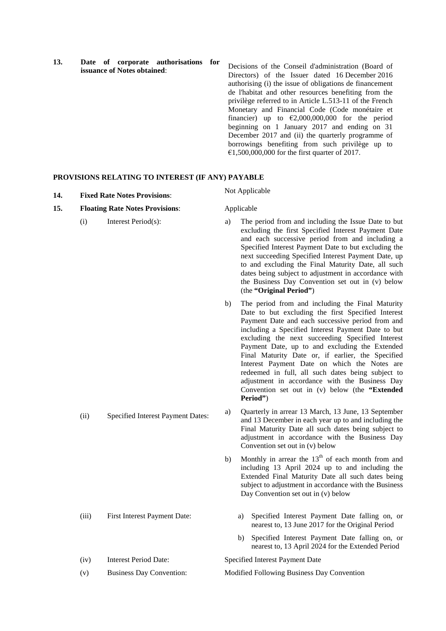**13. Date of corporate authorisations for issuance of Notes obtained**:

Decisions of the Conseil d'administration (Board of Directors) of the Issuer dated 16 December 2016 authorising (i) the issue of obligations de financement de l'habitat and other resources benefiting from the privilège referred to in Article L.513-11 of the French Monetary and Financial Code (Code monétaire et financier) up to  $\epsilon$ 2,000,000,000 for the period beginning on 1 January 2017 and ending on 31 December 2017 and (ii) the quarterly programme of borrowings benefiting from such privilège up to  $\epsilon$ 1,500,000,000 for the first quarter of 2017.

### **PROVISIONS RELATING TO INTEREST (IF ANY) PAYABLE**

| 14. |       | <b>Fixed Rate Notes Provisions:</b>    |    | Not Applicable                                                                                                                                                                                                                                                                                                                                                                                                                                                                                                                                                                                   |  |
|-----|-------|----------------------------------------|----|--------------------------------------------------------------------------------------------------------------------------------------------------------------------------------------------------------------------------------------------------------------------------------------------------------------------------------------------------------------------------------------------------------------------------------------------------------------------------------------------------------------------------------------------------------------------------------------------------|--|
| 15. |       | <b>Floating Rate Notes Provisions:</b> |    | Applicable                                                                                                                                                                                                                                                                                                                                                                                                                                                                                                                                                                                       |  |
|     | (i)   | Interest Period(s):                    | a) | The period from and including the Issue Date to but<br>excluding the first Specified Interest Payment Date<br>and each successive period from and including a<br>Specified Interest Payment Date to but excluding the<br>next succeeding Specified Interest Payment Date, up<br>to and excluding the Final Maturity Date, all such<br>dates being subject to adjustment in accordance with<br>the Business Day Convention set out in (v) below<br>(the "Original Period")                                                                                                                        |  |
|     |       |                                        | b) | The period from and including the Final Maturity<br>Date to but excluding the first Specified Interest<br>Payment Date and each successive period from and<br>including a Specified Interest Payment Date to but<br>excluding the next succeeding Specified Interest<br>Payment Date, up to and excluding the Extended<br>Final Maturity Date or, if earlier, the Specified<br>Interest Payment Date on which the Notes are<br>redeemed in full, all such dates being subject to<br>adjustment in accordance with the Business Day<br>Convention set out in (v) below (the "Extended<br>Period") |  |
|     | (ii)  | Specified Interest Payment Dates:      | a) | Quarterly in arrear 13 March, 13 June, 13 September<br>and 13 December in each year up to and including the<br>Final Maturity Date all such dates being subject to<br>adjustment in accordance with the Business Day<br>Convention set out in (v) below                                                                                                                                                                                                                                                                                                                                          |  |
|     |       |                                        | b) | Monthly in arrear the $13th$ of each month from and<br>including 13 April 2024 up to and including the<br>Extended Final Maturity Date all such dates being<br>subject to adjustment in accordance with the Business<br>Day Convention set out in (v) below                                                                                                                                                                                                                                                                                                                                      |  |
|     | (iii) | First Interest Payment Date:           |    | Specified Interest Payment Date falling on, or<br>a)<br>nearest to, 13 June 2017 for the Original Period                                                                                                                                                                                                                                                                                                                                                                                                                                                                                         |  |
|     |       |                                        |    | Specified Interest Payment Date falling on, or<br>b)<br>nearest to, 13 April 2024 for the Extended Period                                                                                                                                                                                                                                                                                                                                                                                                                                                                                        |  |
|     | (iv)  | <b>Interest Period Date:</b>           |    | Specified Interest Payment Date                                                                                                                                                                                                                                                                                                                                                                                                                                                                                                                                                                  |  |
|     | (v)   | <b>Business Day Convention:</b>        |    | Modified Following Business Day Convention                                                                                                                                                                                                                                                                                                                                                                                                                                                                                                                                                       |  |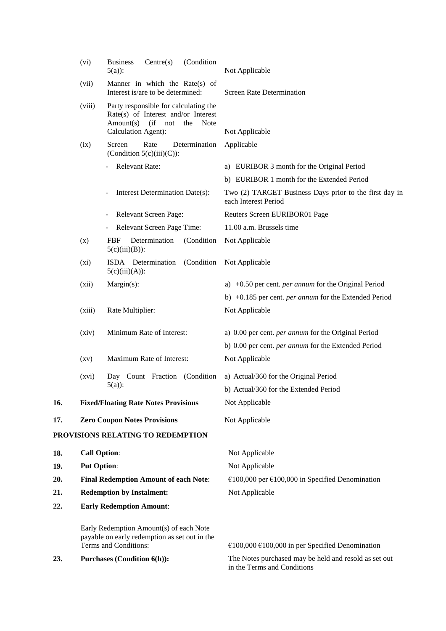|     | (vi)                                         | (Condition<br>Centre(s)<br><b>Business</b><br>$5(a)$ :                                                                                        | Not Applicable                                                                       |
|-----|----------------------------------------------|-----------------------------------------------------------------------------------------------------------------------------------------------|--------------------------------------------------------------------------------------|
|     | (vii)                                        | Manner in which the Rate(s) of<br>Interest is/are to be determined:                                                                           | <b>Screen Rate Determination</b>                                                     |
|     | (viii)                                       | Party responsible for calculating the<br>Rate(s) of Interest and/or Interest<br>Amount(s)<br>(ii<br>not<br>the<br>Note<br>Calculation Agent): | Not Applicable                                                                       |
|     | (ix)                                         | Rate<br>Screen<br>Determination<br>(Condition $5(c)(iii)(C)$ ):                                                                               | Applicable                                                                           |
|     |                                              | Relevant Rate:                                                                                                                                | a) EURIBOR 3 month for the Original Period                                           |
|     |                                              |                                                                                                                                               | b) EURIBOR 1 month for the Extended Period                                           |
|     |                                              | Interest Determination Date(s):                                                                                                               | Two (2) TARGET Business Days prior to the first day in<br>each Interest Period       |
|     |                                              | Relevant Screen Page:                                                                                                                         | Reuters Screen EURIBOR01 Page                                                        |
|     |                                              | Relevant Screen Page Time:                                                                                                                    | 11.00 a.m. Brussels time                                                             |
|     | (x)                                          | (Condition<br><b>FBF</b><br>Determination<br>$5(c)(iii)(B))$ :                                                                                | Not Applicable                                                                       |
|     | $(x_i)$                                      | ISDA Determination<br>(Condition<br>$5(c)(iii)(A))$ :                                                                                         | Not Applicable                                                                       |
|     | (xii)                                        | $Margin(s)$ :                                                                                                                                 | a) $+0.50$ per cent. <i>per annum</i> for the Original Period                        |
|     |                                              |                                                                                                                                               | b) +0.185 per cent. <i>per annum</i> for the Extended Period                         |
|     | (xiii)                                       | Rate Multiplier:                                                                                                                              | Not Applicable                                                                       |
|     | (xiv)                                        | Minimum Rate of Interest:                                                                                                                     | a) 0.00 per cent. per annum for the Original Period                                  |
|     |                                              |                                                                                                                                               | b) 0.00 per cent. per annum for the Extended Period                                  |
|     | $\left( xy\right)$                           | Maximum Rate of Interest:                                                                                                                     | Not Applicable                                                                       |
|     | (xvi)                                        | Day Count Fraction (Condition                                                                                                                 | a) Actual/360 for the Original Period                                                |
|     |                                              | $5(a)$ :                                                                                                                                      | b) Actual/360 for the Extended Period                                                |
| 16. |                                              | <b>Fixed/Floating Rate Notes Provisions</b>                                                                                                   | Not Applicable                                                                       |
| 17. |                                              | <b>Zero Coupon Notes Provisions</b>                                                                                                           | Not Applicable                                                                       |
|     |                                              | PROVISIONS RELATING TO REDEMPTION                                                                                                             |                                                                                      |
| 18. | <b>Call Option:</b>                          |                                                                                                                                               | Not Applicable                                                                       |
| 19. | <b>Put Option:</b>                           |                                                                                                                                               | Not Applicable                                                                       |
| 20. | <b>Final Redemption Amount of each Note:</b> |                                                                                                                                               | €100,000 per €100,000 in Specified Denomination                                      |
| 21. |                                              | <b>Redemption by Instalment:</b>                                                                                                              | Not Applicable                                                                       |
| 22. | <b>Early Redemption Amount:</b>              |                                                                                                                                               |                                                                                      |
|     |                                              | Early Redemption Amount(s) of each Note<br>payable on early redemption as set out in the                                                      |                                                                                      |
|     |                                              | Terms and Conditions:                                                                                                                         | €100,000 €100,000 in per Specified Denomination                                      |
| 23. |                                              | <b>Purchases (Condition 6(h)):</b>                                                                                                            | The Notes purchased may be held and resold as set out<br>in the Terms and Conditions |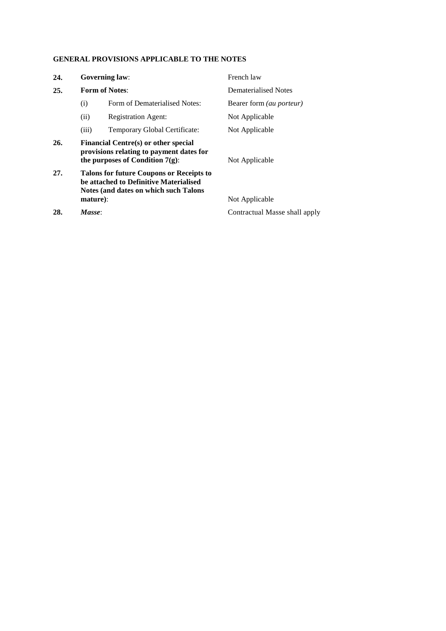# **GENERAL PROVISIONS APPLICABLE TO THE NOTES**

| 24. |          | <b>Governing law:</b>                                                                                                       | French law                      |
|-----|----------|-----------------------------------------------------------------------------------------------------------------------------|---------------------------------|
| 25. |          | <b>Form of Notes:</b>                                                                                                       | Dematerialised Notes            |
|     | (i)      | Form of Dematerialised Notes:                                                                                               | Bearer form <i>(au porteur)</i> |
|     | (ii)     | <b>Registration Agent:</b>                                                                                                  | Not Applicable                  |
|     | (iii)    | Temporary Global Certificate:                                                                                               | Not Applicable                  |
| 26. |          | Financial Centre(s) or other special<br>provisions relating to payment dates for<br>the purposes of Condition $7(g)$ :      | Not Applicable                  |
| 27. |          | Talons for future Coupons or Receipts to<br>be attached to Definitive Materialised<br>Notes (and dates on which such Talons |                                 |
|     | mature): |                                                                                                                             | Not Applicable                  |

**28.** *Masse*: Contractual Masse shall apply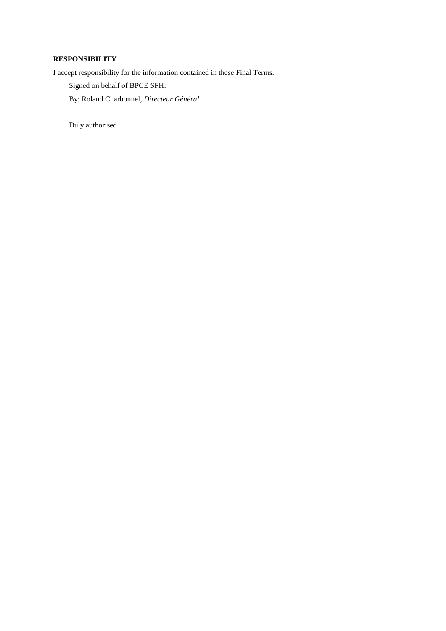## **RESPONSIBILITY**

I accept responsibility for the information contained in these Final Terms.

Signed on behalf of BPCE SFH:

By: Roland Charbonnel, *Directeur Général*

Duly authorised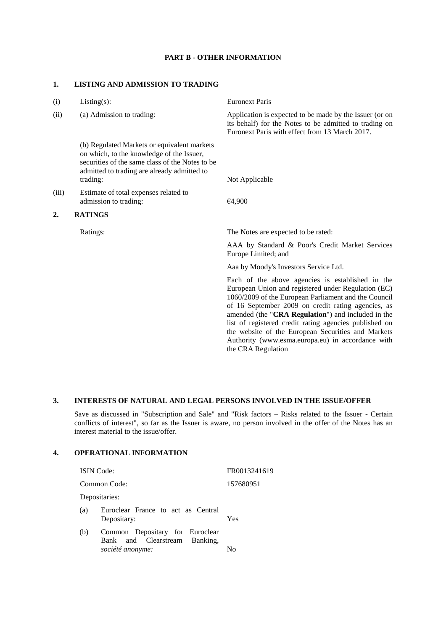### **PART B - OTHER INFORMATION**

#### **1. LISTING AND ADMISSION TO TRADING**

| (i)   | $Listing(s)$ :                                                                                                                                                                                         | <b>Euronext Paris</b>                                                                                                                                                                                                                                                                                                                                                                                                                                                  |
|-------|--------------------------------------------------------------------------------------------------------------------------------------------------------------------------------------------------------|------------------------------------------------------------------------------------------------------------------------------------------------------------------------------------------------------------------------------------------------------------------------------------------------------------------------------------------------------------------------------------------------------------------------------------------------------------------------|
| (ii)  | (a) Admission to trading:                                                                                                                                                                              | Application is expected to be made by the Issuer (or on<br>its behalf) for the Notes to be admitted to trading on<br>Euronext Paris with effect from 13 March 2017.                                                                                                                                                                                                                                                                                                    |
|       | (b) Regulated Markets or equivalent markets<br>on which, to the knowledge of the Issuer,<br>securities of the same class of the Notes to be<br>admitted to trading are already admitted to<br>trading: | Not Applicable                                                                                                                                                                                                                                                                                                                                                                                                                                                         |
|       |                                                                                                                                                                                                        |                                                                                                                                                                                                                                                                                                                                                                                                                                                                        |
| (iii) | Estimate of total expenses related to<br>admission to trading:                                                                                                                                         | €4,900                                                                                                                                                                                                                                                                                                                                                                                                                                                                 |
| 2.    | <b>RATINGS</b>                                                                                                                                                                                         |                                                                                                                                                                                                                                                                                                                                                                                                                                                                        |
|       | Ratings:                                                                                                                                                                                               | The Notes are expected to be rated:                                                                                                                                                                                                                                                                                                                                                                                                                                    |
|       |                                                                                                                                                                                                        | AAA by Standard & Poor's Credit Market Services<br>Europe Limited; and                                                                                                                                                                                                                                                                                                                                                                                                 |
|       |                                                                                                                                                                                                        | Aaa by Moody's Investors Service Ltd.                                                                                                                                                                                                                                                                                                                                                                                                                                  |
|       |                                                                                                                                                                                                        | Each of the above agencies is established in the<br>European Union and registered under Regulation (EC)<br>1060/2009 of the European Parliament and the Council<br>of 16 September 2009 on credit rating agencies, as<br>amended (the "CRA Regulation") and included in the<br>list of registered credit rating agencies published on<br>the website of the European Securities and Markets<br>Authority (www.esma.europa.eu) in accordance with<br>the CRA Regulation |

# **3. INTERESTS OF NATURAL AND LEGAL PERSONS INVOLVED IN THE ISSUE/OFFER**

Save as discussed in "Subscription and Sale" and "Risk factors – Risks related to the Issuer - Certain conflicts of interest", so far as the Issuer is aware, no person involved in the offer of the Notes has an interest material to the issue/offer.

# **4. OPERATIONAL INFORMATION**

| <b>ISIN</b> Code: |                                                                  | FR0013241619 |
|-------------------|------------------------------------------------------------------|--------------|
|                   | Common Code:                                                     | 157680951    |
|                   | Depositaries:                                                    |              |
| (a)               | Euroclear France to act as Central<br>Depositary:                | Yes          |
| (b)               | Common Depositary for Euroclear<br>Bank and Clearstream Banking, |              |
|                   | société anonyme:                                                 | N٥           |